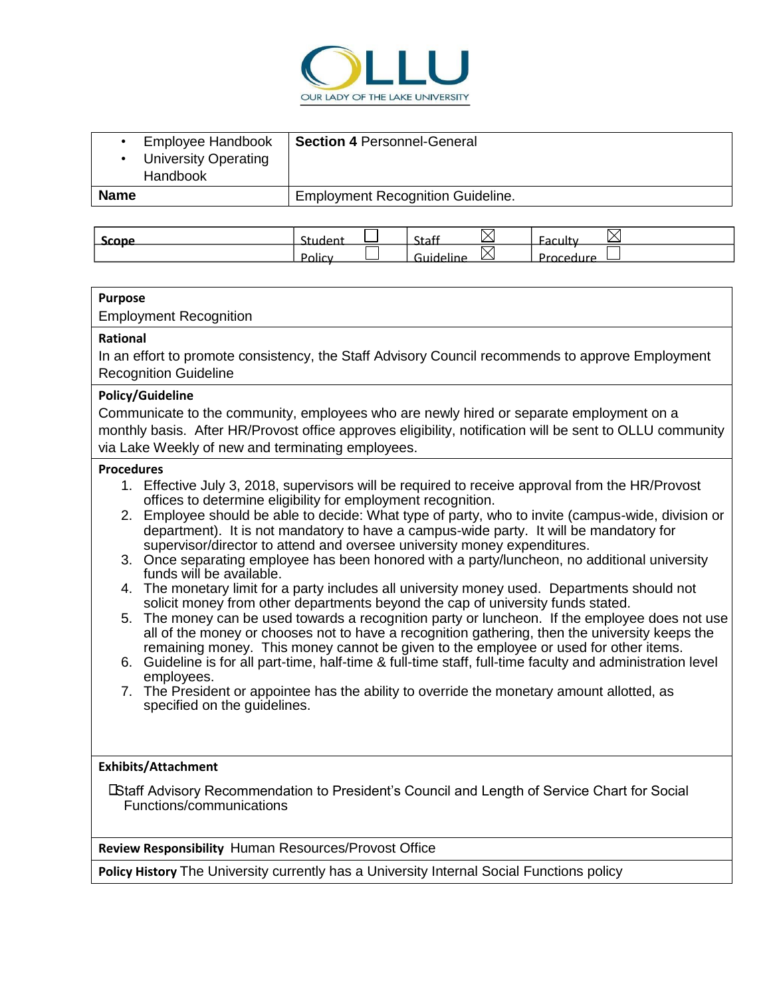

| Employee Handbook<br><b>University Operating</b><br>Handbook | <b>Section 4 Personnel-General</b>       |
|--------------------------------------------------------------|------------------------------------------|
| <b>Name</b>                                                  | <b>Employment Recognition Guideline.</b> |

| .<br><b>AUU</b> | - -     | <br><u>.</u><br>سەبى |         |
|-----------------|---------|----------------------|---------|
|                 | ------- | ________             | .<br>-- |
|                 | ----    |                      | —       |

## **Purpose**

Employment Recognition

#### **Rational**

In an effort to promote consistency, the Staff Advisory Council recommends to approve Employment Recognition Guideline

## **Policy/Guideline**

Communicate to the community, employees who are newly hired or separate employment on a monthly basis. After HR/Provost office approves eligibility, notification will be sent to OLLU community via Lake Weekly of new and terminating employees.

#### **Procedures**

- 1. Effective July 3, 2018, supervisors will be required to receive approval from the HR/Provost offices to determine eligibility for employment recognition.
- 2. Employee should be able to decide: What type of party, who to invite (campus-wide, division or department). It is not mandatory to have a campus-wide party. It will be mandatory for supervisor/director to attend and oversee university money expenditures.
- 3. Once separating employee has been honored with a party/luncheon, no additional university funds will be available.
- 4. The monetary limit for a party includes all university money used. Departments should not solicit money from other departments beyond the cap of university funds stated.
- 5. The money can be used towards a recognition party or luncheon. If the employee does not use all of the money or chooses not to have a recognition gathering, then the university keeps the remaining money. This money cannot be given to the employee or used for other items.
- 6. Guideline is for all part-time, half-time & full-time staff, full-time faculty and administration level employees.
- 7. The President or appointee has the ability to override the monetary amount allotted, as specified on the guidelines.

#### **Exhibits/Attachment**

Staff Advisory Recommendation to President's Council and Length of Service Chart for Social Functions/communications

**Review Responsibility** Human Resources/Provost Office

**Policy History** The University currently has a University Internal Social Functions policy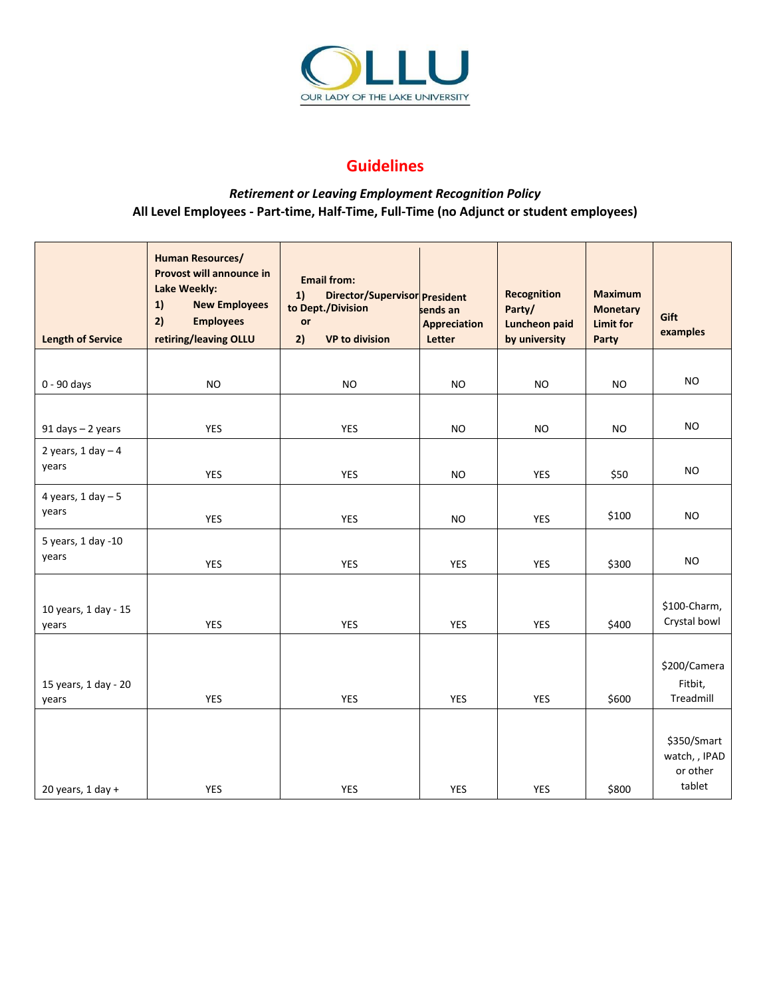

# **Guidelines**

# *Retirement or Leaving Employment Recognition Policy*  **All Level Employees - Part-time, Half-Time, Full-Time (no Adjunct or student employees)**

| <b>Length of Service</b>       | <b>Human Resources/</b><br>Provost will announce in<br>Lake Weekly:<br>1)<br><b>New Employees</b><br>2)<br><b>Employees</b><br>retiring/leaving OLLU | <b>Email from:</b><br>1)<br>Director/Supervisor President<br>to Dept./Division<br>or<br>2)<br><b>VP to division</b> | sends an<br><b>Appreciation</b><br>Letter | <b>Recognition</b><br>Party/<br><b>Luncheon paid</b><br>by university | <b>Maximum</b><br><b>Monetary</b><br><b>Limit for</b><br><b>Party</b> | Gift<br>examples                                   |
|--------------------------------|------------------------------------------------------------------------------------------------------------------------------------------------------|---------------------------------------------------------------------------------------------------------------------|-------------------------------------------|-----------------------------------------------------------------------|-----------------------------------------------------------------------|----------------------------------------------------|
|                                |                                                                                                                                                      |                                                                                                                     |                                           |                                                                       |                                                                       |                                                    |
| 0 - 90 days                    | <b>NO</b>                                                                                                                                            | <b>NO</b>                                                                                                           | <b>NO</b>                                 | <b>NO</b>                                                             | <b>NO</b>                                                             | <b>NO</b>                                          |
|                                |                                                                                                                                                      |                                                                                                                     |                                           |                                                                       |                                                                       |                                                    |
| 91 days - 2 years              | <b>YES</b>                                                                                                                                           | <b>YES</b>                                                                                                          | <b>NO</b>                                 | <b>NO</b>                                                             | <b>NO</b>                                                             | <b>NO</b>                                          |
| 2 years, $1$ day $-4$<br>years | <b>YES</b>                                                                                                                                           | <b>YES</b>                                                                                                          | <b>NO</b>                                 | <b>YES</b>                                                            | \$50                                                                  | <b>NO</b>                                          |
| 4 years, $1$ day $-5$<br>years | <b>YES</b>                                                                                                                                           | <b>YES</b>                                                                                                          | <b>NO</b>                                 | YES                                                                   | \$100                                                                 | NO.                                                |
| 5 years, 1 day -10<br>years    | <b>YES</b>                                                                                                                                           | <b>YES</b>                                                                                                          | <b>YES</b>                                | YES                                                                   | \$300                                                                 | <b>NO</b>                                          |
| 10 years, 1 day - 15<br>years  | YES                                                                                                                                                  | <b>YES</b>                                                                                                          | <b>YES</b>                                | YES                                                                   | \$400                                                                 | \$100-Charm,<br>Crystal bowl                       |
| 15 years, 1 day - 20<br>years  | YES                                                                                                                                                  | <b>YES</b>                                                                                                          | <b>YES</b>                                | YES                                                                   | \$600                                                                 | \$200/Camera<br>Fitbit,<br>Treadmill               |
| 20 years, $1$ day +            | <b>YES</b>                                                                                                                                           | <b>YES</b>                                                                                                          | <b>YES</b>                                | <b>YES</b>                                                            | \$800                                                                 | \$350/Smart<br>watch, , IPAD<br>or other<br>tablet |